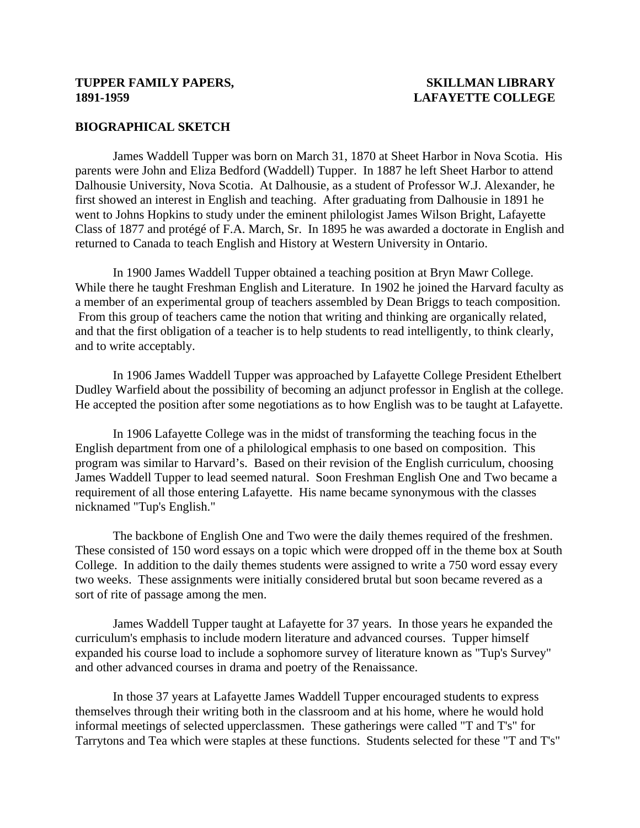### **TUPPER FAMILY PAPERS, SKILLMAN LIBRARY 1891-1959 LAFAYETTE COLLEGE**

#### **BIOGRAPHICAL SKETCH**

 James Waddell Tupper was born on March 31, 1870 at Sheet Harbor in Nova Scotia. His parents were John and Eliza Bedford (Waddell) Tupper. In 1887 he left Sheet Harbor to attend Dalhousie University, Nova Scotia. At Dalhousie, as a student of Professor W.J. Alexander, he first showed an interest in English and teaching. After graduating from Dalhousie in 1891 he went to Johns Hopkins to study under the eminent philologist James Wilson Bright, Lafayette Class of 1877 and protégé of F.A. March, Sr. In 1895 he was awarded a doctorate in English and returned to Canada to teach English and History at Western University in Ontario.

 In 1900 James Waddell Tupper obtained a teaching position at Bryn Mawr College. While there he taught Freshman English and Literature. In 1902 he joined the Harvard faculty as a member of an experimental group of teachers assembled by Dean Briggs to teach composition. From this group of teachers came the notion that writing and thinking are organically related, and that the first obligation of a teacher is to help students to read intelligently, to think clearly, and to write acceptably.

 In 1906 James Waddell Tupper was approached by Lafayette College President Ethelbert Dudley Warfield about the possibility of becoming an adjunct professor in English at the college. He accepted the position after some negotiations as to how English was to be taught at Lafayette.

 In 1906 Lafayette College was in the midst of transforming the teaching focus in the English department from one of a philological emphasis to one based on composition. This program was similar to Harvard's. Based on their revision of the English curriculum, choosing James Waddell Tupper to lead seemed natural. Soon Freshman English One and Two became a requirement of all those entering Lafayette. His name became synonymous with the classes nicknamed "Tup's English."

 The backbone of English One and Two were the daily themes required of the freshmen. These consisted of 150 word essays on a topic which were dropped off in the theme box at South College. In addition to the daily themes students were assigned to write a 750 word essay every two weeks. These assignments were initially considered brutal but soon became revered as a sort of rite of passage among the men.

 James Waddell Tupper taught at Lafayette for 37 years. In those years he expanded the curriculum's emphasis to include modern literature and advanced courses. Tupper himself expanded his course load to include a sophomore survey of literature known as "Tup's Survey" and other advanced courses in drama and poetry of the Renaissance.

 In those 37 years at Lafayette James Waddell Tupper encouraged students to express themselves through their writing both in the classroom and at his home, where he would hold informal meetings of selected upperclassmen. These gatherings were called "T and T's" for Tarrytons and Tea which were staples at these functions. Students selected for these "T and T's"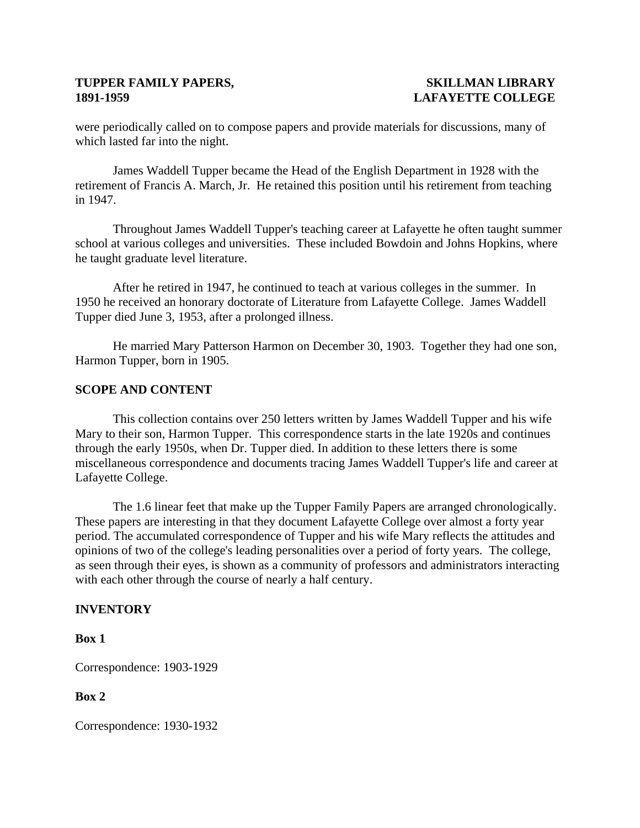## **TUPPER FAMILY PAPERS, SKILLMAN LIBRARY 1891-1959 LAFAYETTE COLLEGE**

were periodically called on to compose papers and provide materials for discussions, many of which lasted far into the night.

 James Waddell Tupper became the Head of the English Department in 1928 with the retirement of Francis A. March, Jr. He retained this position until his retirement from teaching in 1947.

 Throughout James Waddell Tupper's teaching career at Lafayette he often taught summer school at various colleges and universities. These included Bowdoin and Johns Hopkins, where he taught graduate level literature.

 After he retired in 1947, he continued to teach at various colleges in the summer. In 1950 he received an honorary doctorate of Literature from Lafayette College. James Waddell Tupper died June 3, 1953, after a prolonged illness.

 He married Mary Patterson Harmon on December 30, 1903. Together they had one son, Harmon Tupper, born in 1905.

## **SCOPE AND CONTENT**

 This collection contains over 250 letters written by James Waddell Tupper and his wife Mary to their son, Harmon Tupper. This correspondence starts in the late 1920s and continues through the early 1950s, when Dr. Tupper died. In addition to these letters there is some miscellaneous correspondence and documents tracing James Waddell Tupper's life and career at Lafayette College.

 The 1.6 linear feet that make up the Tupper Family Papers are arranged chronologically. These papers are interesting in that they document Lafayette College over almost a forty year period. The accumulated correspondence of Tupper and his wife Mary reflects the attitudes and opinions of two of the college's leading personalities over a period of forty years. The college, as seen through their eyes, is shown as a community of professors and administrators interacting with each other through the course of nearly a half century.

#### **INVENTORY**

**Box 1** 

Correspondence: 1903-1929

### **Box 2**

Correspondence: 1930-1932